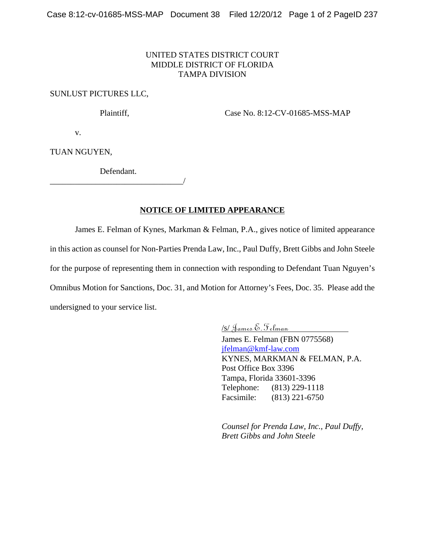## UNITED STATES DISTRICT COURT MIDDLE DISTRICT OF FLORIDA TAMPA DIVISION

## SUNLUST PICTURES LLC,

Plaintiff, Case No. 8:12-CV-01685-MSS-MAP

v.

TUAN NGUYEN,

Defendant.

\_\_\_\_\_\_\_\_\_\_\_\_\_\_\_\_\_\_\_\_\_\_\_\_\_\_\_\_\_\_\_\_/

**NOTICE OF LIMITED APPEARANCE**

James E. Felman of Kynes, Markman & Felman, P.A., gives notice of limited appearance in this action as counsel for Non-Parties Prenda Law, Inc., Paul Duffy, Brett Gibbs and John Steele for the purpose of representing them in connection with responding to Defendant Tuan Nguyen's Omnibus Motion for Sanctions, Doc. 31, and Motion for Attorney's Fees, Doc. 35. Please add the undersigned to your service list.

/s/ James E. Felman

James E. Felman (FBN 0775568) jfelman@kmf-law.com KYNES, MARKMAN & FELMAN, P.A. Post Office Box 3396 Tampa, Florida 33601-3396 Telephone: (813) 229-1118 Facsimile: (813) 221-6750

*Counsel for Prenda Law, Inc., Paul Duffy, Brett Gibbs and John Steele*